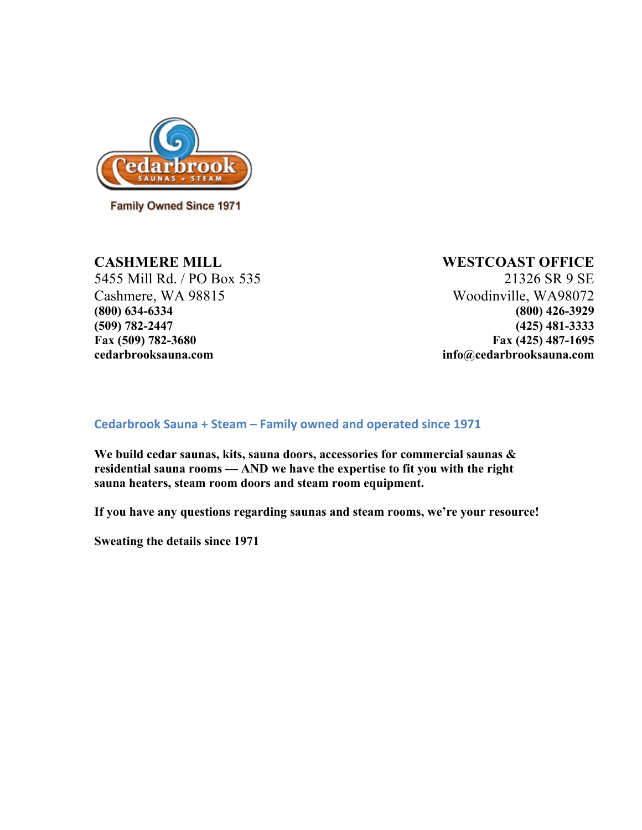

**Family Owned Since 1971** 

5455 Mill Rd. / PO Box 535 21326 SR 9 SE Cashmere, WA 98815 Woodinville, WA98072 **(800) 634-6334 (800) 426-3929 (509) 782-2447 (425) 481-3333 Fax (509) 782-3680 Fax (425) 487-1695 cedarbrooksauna.com info@cedarbrooksauna.com**

#### **CASHMERE MILL WESTCOAST OFFICE**

#### **Cedarbrook Sauna + Steam – Family owned and operated since 1971**

**We build cedar saunas, kits, sauna doors, accessories for commercial saunas & residential sauna rooms — AND we have the expertise to fit you with the right sauna heaters, steam room doors and steam room equipment.**

**If you have any questions regarding saunas and steam rooms, we're your resource!**

**Sweating the details since 1971**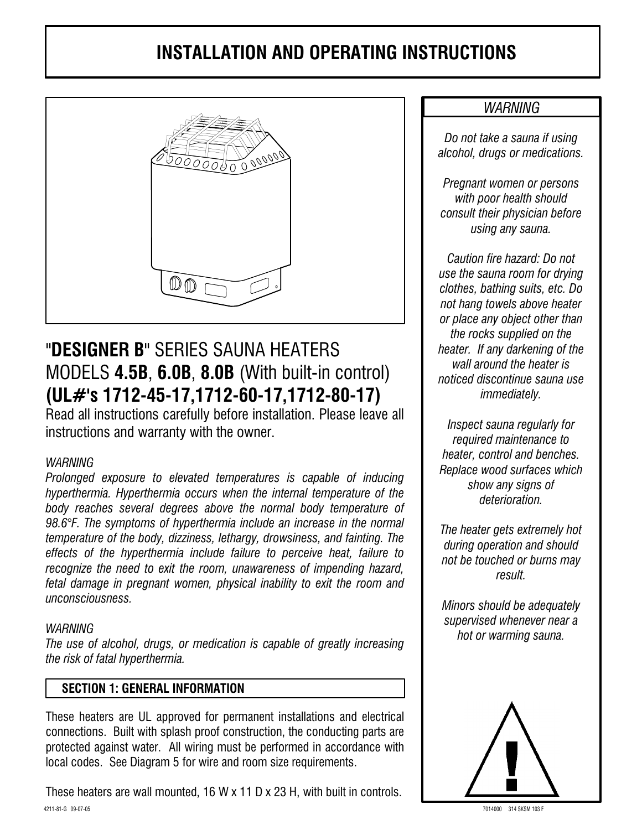

# "DESIGNER B" SERIES SAUNA HEATERS MODELS 4.5B, 6.0B, 8.0B (With built-in control) (UL#'s 1712-45-17,1712-60-17,1712-80-17)

Read all instructions carefully before installation. Please leave all instructions and warranty with the owner.

#### **WARNING**

Prolonged exposure to elevated temperatures is capable of inducing hyperthermia. Hyperthermia occurs when the internal temperature of the body reaches several degrees above the normal body temperature of 98.6°F. The symptoms of hyperthermia include an increase in the normal temperature of the body, dizziness, lethargy, drowsiness, and fainting. The effects of the hyperthermia include failure to perceive heat, failure to recognize the need to exit the room, unawareness of impending hazard, fetal damage in pregnant women, physical inability to exit the room and unconsciousness.

#### **WARNING**

The use of alcohol, drugs, or medication is capable of greatly increasing the risk of fatal hyperthermia.

# **SECTION 1: GENERAL INFORMATION**

These heaters are UL approved for permanent installations and electrical connections. Built with splash proof construction, the conducting parts are protected against water. All wiring must be performed in accordance with local codes. See Diagram 5 for wire and room size requirements.

These heaters are wall mounted, 16 W x 11 D x 23 H, with built in controls. 4211-81-G 09-07-05

# **WARNING**

Do not take a sauna if using alcohol, drugs or medications.

Pregnant women or persons with poor health should consult their physician before using any sauna.

Caution fire hazard: Do not use the sauna room for drving clothes, bathing suits, etc. Do not hang towels above heater or place any object other than the rocks supplied on the heater. If any darkening of the wall around the heater is noticed discontinue sauna use *immediately.* 

Inspect sauna regularly for required maintenance to heater, control and benches. Replace wood surfaces which show any signs of deterioration.

The heater gets extremely hot during operation and should not be touched or burns may result.

Minors should be adequately supervised whenever near a hot or warming sauna.



7014000 314 SKSM 103 B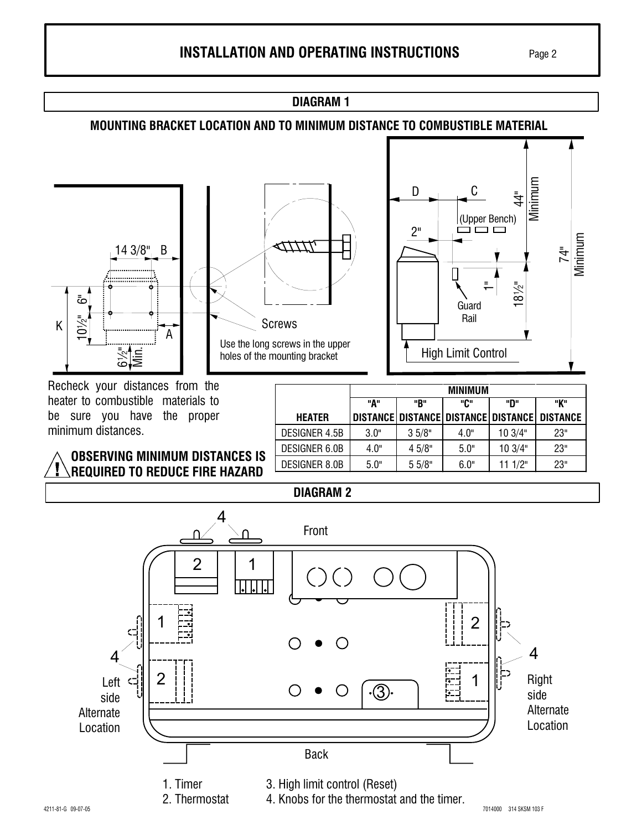**DIAGRAM1** 

### **MOUNTING BRACKET LOCATION AND TO MINIMUM DISTANCE TO COMBUSTIBLE MATERIAL**





Recheck your distances from the heater to combustible materials to be sure you have the proper minimum distances.

|               | <b>MINIMUM</b> |        |      |                                     |                 |  |  |  |  |  |
|---------------|----------------|--------|------|-------------------------------------|-----------------|--|--|--|--|--|
|               | "А"            | "R"    | "ቢ"  | ייחיי                               | "K"             |  |  |  |  |  |
| <b>HEATER</b> |                |        |      | DISTANCE DISTANCE DISTANCE DISTANCE | <b>DISTANCE</b> |  |  |  |  |  |
| DESIGNER 4.5B | 3.0"           | 3.5/8" | 4.0" | 103/4"                              | 23"             |  |  |  |  |  |
| DESIGNER 6.0B | 4.0"           | 4.5/8" | 5.0" | 103/4"                              | 23"             |  |  |  |  |  |
| DESIGNER 8.0B | 5.0"           | 5.5/8" | 6.0" | 111/2"                              | 23"             |  |  |  |  |  |

# **REQUIRED TO REDUCE FIRE HAZARD**

**OBSERVING MINIMUM DISTANCES IS** 



**DIAGRAM 2**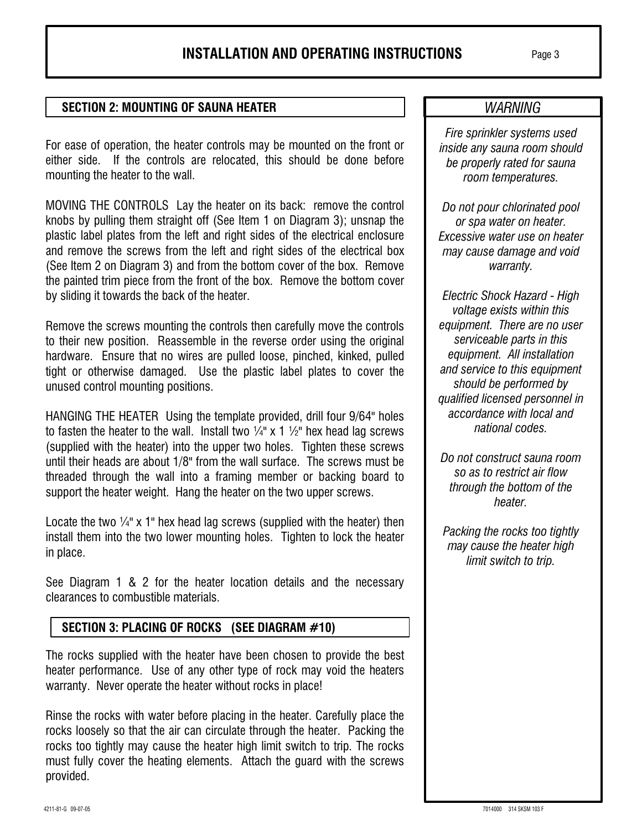#### **SECTION 2: MOUNTING OF SAUNA HEATER**

For ease of operation, the heater controls may be mounted on the front or either side. If the controls are relocated, this should be done before mounting the heater to the wall.

MOVING THE CONTROLS Lay the heater on its back: remove the control knobs by pulling them straight off (See Item 1 on Diagram 3); unsnap the plastic label plates from the left and right sides of the electrical enclosure and remove the screws from the left and right sides of the electrical box (See Item 2 on Diagram 3) and from the bottom cover of the box. Remove the painted trim piece from the front of the box. Remove the bottom cover by sliding it towards the back of the heater.

Remove the screws mounting the controls then carefully move the controls to their new position. Reassemble in the reverse order using the original hardware. Ensure that no wires are pulled loose, pinched, kinked, pulled tight or otherwise damaged. Use the plastic label plates to cover the unused control mounting positions.

HANGING THE HEATER Using the template provided, drill four 9/64" holes to fasten the heater to the wall. Install two  $\frac{1}{4}$  x 1  $\frac{1}{2}$  hex head lag screws (supplied with the heater) into the upper two holes. Tighten these screws until their heads are about 1/8" from the wall surface. The screws must be threaded through the wall into a framing member or backing board to support the heater weight. Hang the heater on the two upper screws.

Locate the two  $\frac{1}{4}$ " x 1" hex head lag screws (supplied with the heater) then install them into the two lower mounting holes. Tighten to lock the heater in place.

See Diagram 1 & 2 for the heater location details and the necessary clearances to combustible materials.

# SECTION 3: PLACING OF ROCKS (SEE DIAGRAM #10)

The rocks supplied with the heater have been chosen to provide the best heater performance. Use of any other type of rock may void the heaters warranty. Never operate the heater without rocks in place!

Rinse the rocks with water before placing in the heater. Carefully place the rocks loosely so that the air can circulate through the heater. Packing the rocks too tightly may cause the heater high limit switch to trip. The rocks must fully cover the heating elements. Attach the guard with the screws provided.

# **WARNING**

Fire sprinkler systems used inside any sauna room should be properly rated for sauna room temperatures.

Do not pour chlorinated pool or spa water on heater. Excessive water use on heater may cause damage and void warranty.

Electric Shock Hazard - High voltage exists within this equipment. There are no user serviceable parts in this equipment. All installation and service to this equipment should be performed by qualified licensed personnel in accordance with local and national codes.

Do not construct sauna room so as to restrict air flow through the bottom of the heater.

Packing the rocks too tightly may cause the heater high limit switch to trip.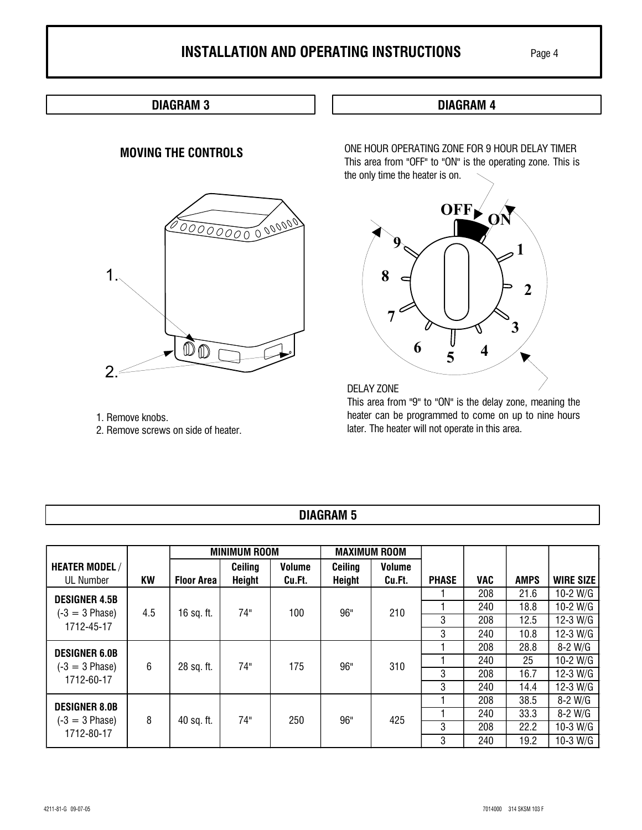## **DIAGRAM 3**

#### **MOVING THE CONTROLS**



- 1. Remove knobs.
- 2. Remove screws on side of heater.

**DIAGRAM 4** 

ONE HOUR OPERATING ZONE FOR 9 HOUR DELAY TIMER This area from "OFF" to "ON" is the operating zone. This is the only time the heater is on.



DELAY ZONE

This area from "9" to "ON" is the delay zone, meaning the heater can be programmed to come on up to nine hours later. The heater will not operate in this area.

# **DIAGRAM 5**

|                                                        | <b>MINIMUM ROOM</b> |                   |               | <b>MAXIMUM ROOM</b> |               |               |              |            |             |                  |
|--------------------------------------------------------|---------------------|-------------------|---------------|---------------------|---------------|---------------|--------------|------------|-------------|------------------|
| <b>HEATER MODEL/</b>                                   |                     |                   | Ceiling       | <b>Volume</b>       | Ceiling       | <b>Volume</b> |              |            |             |                  |
| <b>UL Number</b>                                       | <b>KW</b>           | <b>Floor Area</b> | <b>Height</b> | Cu.Ft.              | <b>Height</b> | Cu.Ft.        | <b>PHASE</b> | <b>VAC</b> | <b>AMPS</b> | <b>WIRE SIZE</b> |
| <b>DESIGNER 4.5B</b><br>$(-3 = 3$ Phase)<br>1712-45-17 | 4.5                 | 16 sq. ft.        | 74"           | 100                 | 96"           | 210           |              | 208        | 21.6        | $10-2$ W/G       |
|                                                        |                     |                   |               |                     |               |               |              | 240        | 18.8        | 10-2 W/G         |
|                                                        |                     |                   |               |                     |               |               | 3            | 208        | 12.5        | 12-3 W/G         |
|                                                        |                     |                   |               |                     |               |               | 3            | 240        | 10.8        | 12-3 W/G         |
| <b>DESIGNER 6.0B</b><br>$(-3 = 3$ Phase)<br>1712-60-17 | 6                   | 28 sq. ft.        | 74"           | 175                 | 96"           | 310           |              | 208        | 28.8        | $8-2$ W/G        |
|                                                        |                     |                   |               |                     |               |               |              | 240        | 25          | 10-2 W/G         |
|                                                        |                     |                   |               |                     |               |               | 3            | 208        | 16.7        | 12-3 W/G         |
|                                                        |                     |                   |               |                     |               |               | 3            | 240        | 14.4        | 12-3 W/G         |
| <b>DESIGNER 8.0B</b><br>$(-3 = 3$ Phase)<br>1712-80-17 | 8                   | 40 sq. ft.        | 74"           | 250                 | 96"           | 425           |              | 208        | 38.5        | $8-2$ W/G        |
|                                                        |                     |                   |               |                     |               |               |              | 240        | 33.3        | 8-2 W/G          |
|                                                        |                     |                   |               |                     |               |               | 3            | 208        | 22.2        | 10-3 W/G         |
|                                                        |                     |                   |               |                     |               |               | 3            | 240        | 19.2        | 10-3 W/G         |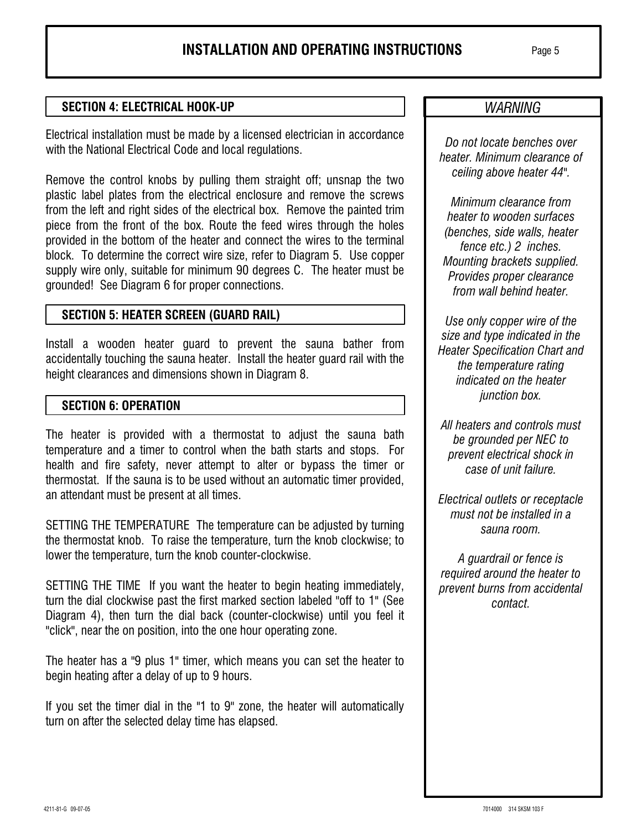#### **SECTION 4: ELECTRICAL HOOK-UP**

Electrical installation must be made by a licensed electrician in accordance with the National Electrical Code and local regulations.

Remove the control knobs by pulling them straight off; unsnap the two plastic label plates from the electrical enclosure and remove the screws from the left and right sides of the electrical box. Remove the painted trim piece from the front of the box. Route the feed wires through the holes provided in the bottom of the heater and connect the wires to the terminal block. To determine the correct wire size, refer to Diagram 5. Use copper supply wire only, suitable for minimum 90 degrees C. The heater must be grounded! See Diagram 6 for proper connections.

#### **SECTION 5: HEATER SCREEN (GUARD RAIL)**

Install a wooden heater guard to prevent the sauna bather from accidentally touching the sauna heater. Install the heater quard rail with the height clearances and dimensions shown in Diagram 8.

#### **SECTION 6: OPERATION**

The heater is provided with a thermostat to adjust the sauna bath temperature and a timer to control when the bath starts and stops. For health and fire safety, never attempt to alter or bypass the timer or thermostat. If the sauna is to be used without an automatic timer provided, an attendant must be present at all times.

SETTING THE TEMPERATURE The temperature can be adjusted by turning the thermostat knob. To raise the temperature, turn the knob clockwise; to lower the temperature, turn the knob counter-clockwise.

SETTING THE TIME If you want the heater to begin heating immediately, turn the dial clockwise past the first marked section labeled "off to 1" (See Diagram 4), then turn the dial back (counter-clockwise) until you feel it "click", near the on position, into the one hour operating zone.

The heater has a "9 plus 1" timer, which means you can set the heater to begin heating after a delay of up to 9 hours.

If you set the timer dial in the "1 to 9" zone, the heater will automatically turn on after the selected delay time has elapsed.

# **WARNING**

Do not locate benches over heater. Minimum clearance of ceiling above heater 44".

Minimum clearance from heater to wooden surfaces (benches, side walls, heater fence etc.) 2 inches. Mounting brackets supplied. Provides proper clearance from wall behind heater

Use only copper wire of the size and type indicated in the **Heater Specification Chart and** the temperature rating indicated on the heater junction box.

All heaters and controls must be grounded per NEC to prevent electrical shock in case of unit failure.

Electrical outlets or receptacle must not be installed in a sauna room.

A guardrail or fence is required around the heater to prevent burns from accidental contact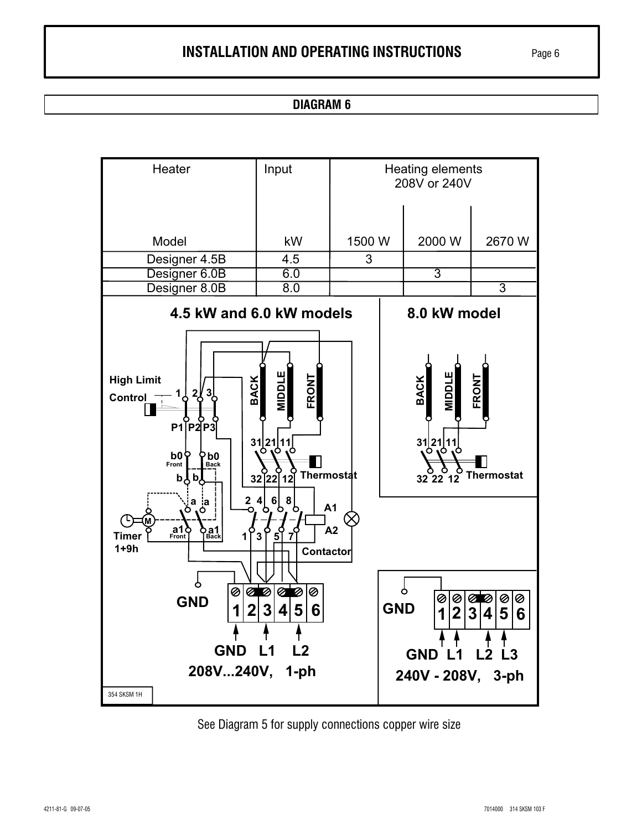#### **DIAGRAM 6**



See Diagram 5 for supply connections copper wire size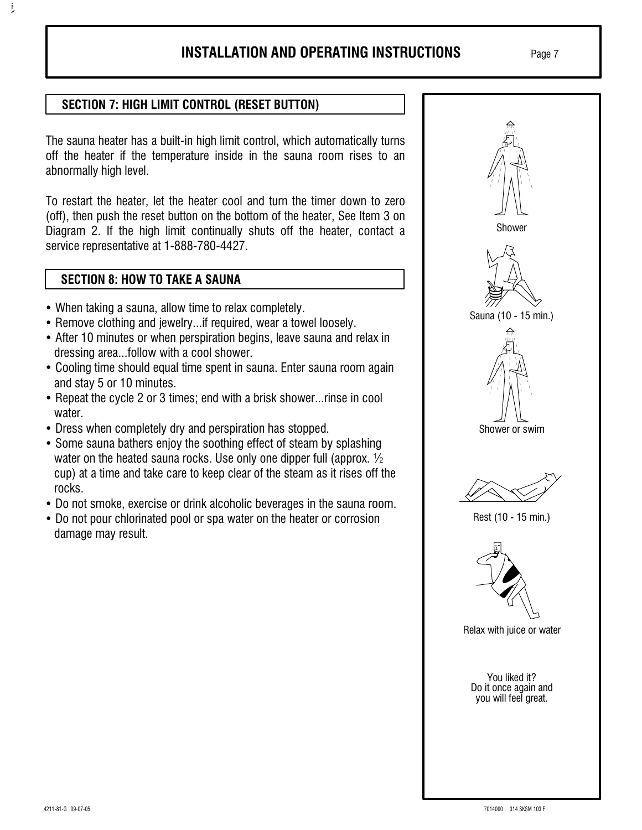Page 7

## **SECTION 7: HIGH LIMIT CONTROL (RESET BUTTON)**

The sauna heater has a built-in high limit control, which automatically turns off the heater if the temperature inside in the sauna room rises to an abnormally high level.

To restart the heater, let the heater cool and turn the timer down to zero (off), then push the reset button on the bottom of the heater. See Item 3 on Diagram 2. If the high limit continually shuts off the heater, contact a service representative at 1-888-780-4427.

#### **SECTION 8: HOW TO TAKE A SAUNA**

ţ

- When taking a sauna, allow time to relax completely.
- Remove clothing and jewelry...if required, wear a towel loosely.
- After 10 minutes or when perspiration begins, leave sauna and relax in dressing area...follow with a cool shower.
- Cooling time should equal time spent in sauna. Enter sauna room again and stay 5 or 10 minutes.
- Repeat the cycle 2 or 3 times; end with a brisk shower...rinse in cool water.
- Dress when completely dry and perspiration has stopped.
- Some sauna bathers enjoy the soothing effect of steam by splashing water on the heated sauna rocks. Use only one dipper full (approx.  $\frac{1}{2}$ ) cup) at a time and take care to keep clear of the steam as it rises off the rocks.
- Do not smoke, exercise or drink alcoholic beverages in the sauna room.
- Do not pour chlorinated pool or spa water on the heater or corrosion damage may result.

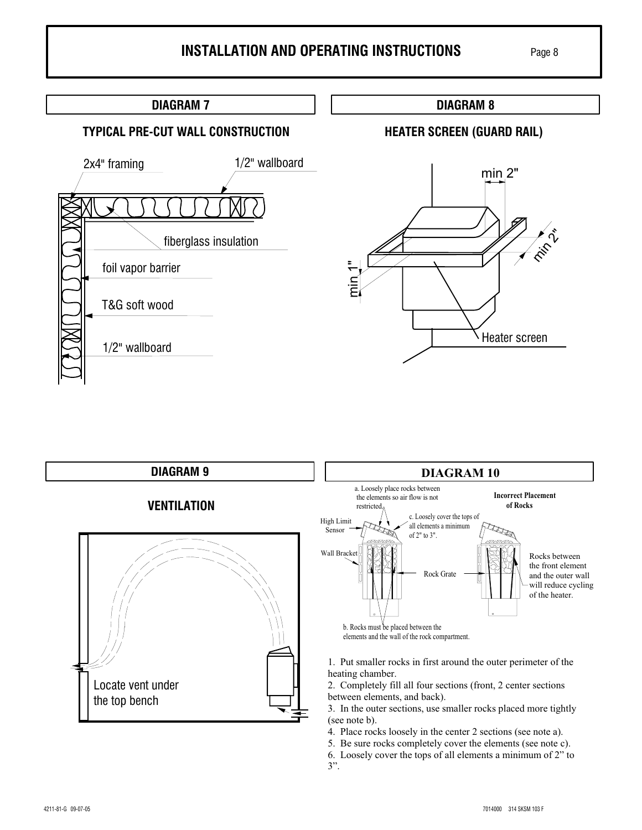# **DIAGRAM 7 DIAGRAM 8 TYPICAL PRE-CUT WALL CONSTRUCTION HEATER SCREEN (GUARD RAIL)** 1/2" wallboard 2x4" framing  $min 2"$ fiberglass insulation foil vapor barrier T&G soft wood Heater screen 1/2" wallboard



- 4. Place rocks loosely in the center 2 sections (see note a).
- 5. Be sure rocks completely cover the elements (see note c).

6. Loosely cover the tops of all elements a minimum of 2" to  $3$ ".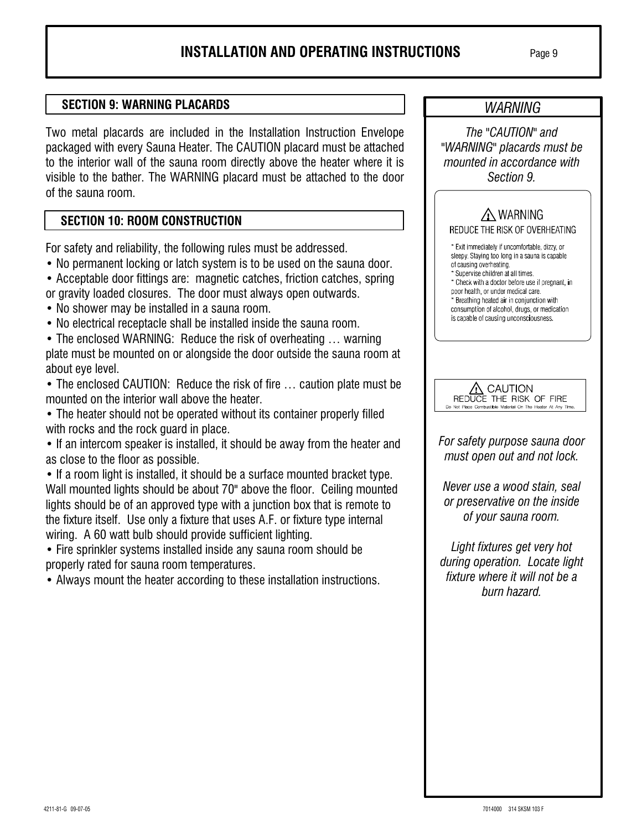WARNING

The "CAUTION" and

#### **SECTION 9: WARNING PLACARDS**

Two metal placards are included in the Installation Instruction Envelope packaged with every Sauna Heater. The CAUTION placard must be attached to the interior wall of the sauna room directly above the heater where it is visible to the bather. The WARNING placard must be attached to the door of the sauna room.

#### **SECTION 10: ROOM CONSTRUCTION**

For safety and reliability, the following rules must be addressed.

- No permanent locking or latch system is to be used on the sauna door.
- Acceptable door fittings are: magnetic catches, friction catches, spring
- or gravity loaded closures. The door must always open outwards.
- No shower may be installed in a sauna room.
- No electrical receptacle shall be installed inside the sauna room.

• The enclosed WARNING: Reduce the risk of overheating ... warning plate must be mounted on or alongside the door outside the sauna room at about eye level.

• The enclosed CAUTION: Reduce the risk of fire ... caution plate must be mounted on the interior wall above the heater.

• The heater should not be operated without its container properly filled with rocks and the rock guard in place.

• If an intercom speaker is installed, it should be away from the heater and as close to the floor as possible.

• If a room light is installed, it should be a surface mounted bracket type. Wall mounted lights should be about 70" above the floor. Ceiling mounted lights should be of an approved type with a junction box that is remote to the fixture itself. Use only a fixture that uses A.F. or fixture type internal wiring. A 60 watt bulb should provide sufficient lighting.

• Fire sprinkler systems installed inside any sauna room should be properly rated for sauna room temperatures.

• Always mount the heater according to these installation instructions.